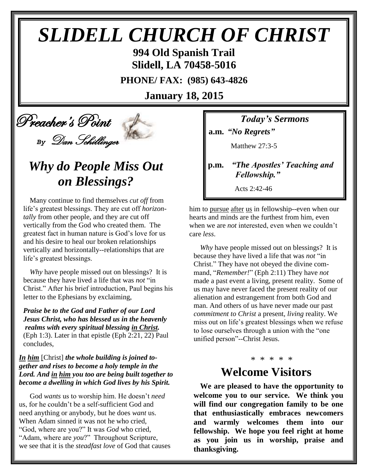# *SLIDELL CHURCH OF CHRIST*

**994 Old Spanish Trail Slidell, LA 70458-5016**

**PHONE/ FAX: (985) 643-4826**

**January 18, 2015**

 Preacher's Point *By* Dan Schillinger

## *Why do People Miss Out on Blessings?*

Many continue to find themselves *cut off* from life's greatest blessings. They are cut off *horizontally* from other people, and they are cut off vertically from the God who created them. The greatest fact in human nature is God's love for us and his desire to heal our broken relationships vertically and horizontally--relationships that are life's greatest blessings.

*Why* have people missed out on blessings? It is because they have lived a life that was *not* "in Christ." After his brief introduction, Paul begins his letter to the Ephesians by exclaiming,

*Praise be to the God and Father of our Lord Jesus Christ, who has blessed us in the heavenly realms with every spiritual blessing in Christ.* (Eph 1:3). Later in that epistle (Eph 2:21, 22) Paul concludes,

#### *In him* [Christ] *the whole building is joined together and rises to become a holy temple in the Lord. And in him you too are being built together to become a dwelling in which God lives by his Spirit.*

God *wants* us to worship him. He doesn't *need* us, for he couldn't be a self-sufficient God and need anything or anybody, but he does *want* us. When Adam sinned it was not he who cried, "God, where are you?" It was *God* who cried, "Adam, where are *you*?" Throughout Scripture, we see that it is the *steadfast love* of God that causes *Today's Sermons*

**a.m.** *"No Regrets"*

Matthew 27:3-5

**p.m.** *"The Apostles' Teaching and Fellowship."*

Acts 2:42-46

him to pursue after us in fellowship--even when our hearts and minds are the furthest from him, even when we are *not* interested, even when we couldn't care *less*.

*Why* have people missed out on blessings? It is because they have lived a life that was *not* "in Christ." They have not obeyed the divine command, "*Remember!*" (Eph 2:11) They have *not* made a past event a living, present reality. Some of us may have never faced the present reality of our alienation and estrangement from both God and man. And others of us have never made our past *commitment to Christ* a present, *living* reality. We miss out on life's greatest blessings when we refuse to lose ourselves through a union with the "one unified person"--Christ Jesus.

### \* \* \* \* \* **Welcome Visitors**

**We are pleased to have the opportunity to welcome you to our service. We think you will find our congregation family to be one that enthusiastically embraces newcomers and warmly welcomes them into our fellowship. We hope you feel right at home as you join us in worship, praise and thanksgiving.**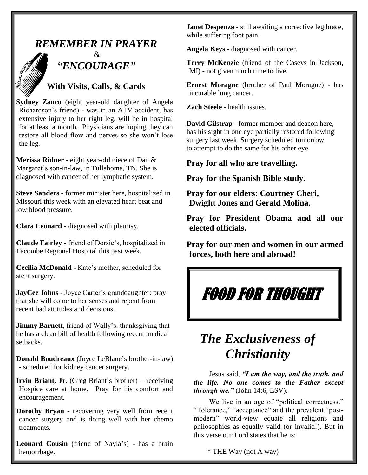### *REMEMBER IN PRAYER*



### $\mathcal{R}$ *"ENCOURAGE"*

### **With Visits, Calls, & Cards**

**Sydney Zanco** (eight year-old daughter of Angela Richardson's friend) - was in an ATV accident, has extensive injury to her right leg, will be in hospital for at least a month. Physicians are hoping they can restore all blood flow and nerves so she won't lose the leg.

**Merissa Ridner** - eight year-old niece of Dan & Margaret's son-in-law, in Tullahoma, TN. She is diagnosed with cancer of her lymphatic system.

**Steve Sanders** - former minister here, hospitalized in Missouri this week with an elevated heart beat and low blood pressure.

**Clara Leonard** - diagnosed with pleurisy.

**Claude Fairley** - friend of Dorsie's, hospitalized in Lacombe Regional Hospital this past week.

**Cecilia McDonald** - Kate's mother, scheduled for stent surgery.

**JayCee Johns** - Joyce Carter's granddaughter: pray that she will come to her senses and repent from recent bad attitudes and decisions.

**Jimmy Barnett**, friend of Wally's: thanksgiving that he has a clean bill of health following recent medical setbacks.

**Donald Boudreaux** (Joyce LeBlanc's brother-in-law) - scheduled for kidney cancer surgery.

**Irvin Briant, Jr.** (Greg Briant's brother) – receiving Hospice care at home. Pray for his comfort and encouragement.

**Dorothy Bryan** - recovering very well from recent cancer surgery and is doing well with her chemo treatments.

**Leonard Cousin** (friend of Nayla's) - has a brain hemorrhage.

**Janet Despenza** - still awaiting a corrective leg brace, while suffering foot pain.

**Angela Keys** - diagnosed with cancer.

**Terry McKenzie** (friend of the Caseys in Jackson, MI) - not given much time to live.

**Ernest Moragne** (brother of Paul Moragne) - has incurable lung cancer.

**Zach Steele** - health issues.

**David Gilstrap** - former member and deacon here, has his sight in one eye partially restored following surgery last week. Surgery scheduled tomorrow to attempt to do the same for his other eye.

**Pray for all who are travelling.**

**Pray for the Spanish Bible study.**

**Pray for our elders: Courtney Cheri, Dwight Jones and Gerald Molina.**

**Pray for President Obama and all our elected officials.**

**Pray for our men and women in our armed forces, both here and abroad!**

## FOOD FOR THOUGHT

## *The Exclusiveness of Christianity*

 Jesus said, *"I am the way, and the truth, and the life. No one comes to the Father except through me."* (John 14:6, ESV).

 We live in an age of "political correctness." "Tolerance," "acceptance" and the prevalent "postmodern" world-view equate all religions and philosophies as equally valid (or invalid!). But in this verse our Lord states that he is:

\* THE Way (not A way)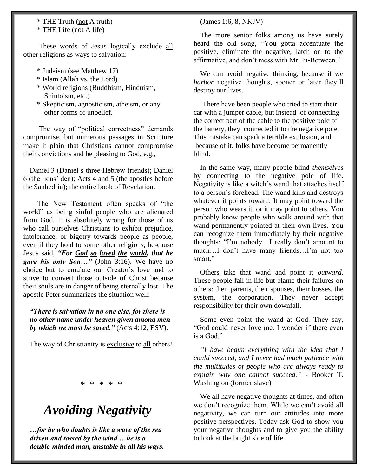### \* THE Truth (not A truth)

\* THE Life (not A life)

These words of Jesus logically exclude all other religions as ways to salvation:

- \* Judaism (see Matthew 17)
- \* Islam (Allah vs. the Lord)
- \* World religions (Buddhism, Hinduism, Shintoism, etc.)
- \* Skepticism, agnosticism, atheism, or any other forms of unbelief.

 The way of "political correctness" demands compromise, but numerous passages in Scripture make it plain that Christians cannot compromise their convictions and be pleasing to God, e.g.,

Daniel 3 (Daniel's three Hebrew friends); Daniel 6 (the lions' den); Acts 4 and 5 (the apostles before the Sanhedrin); the entire book of Revelation.

 The New Testament often speaks of "the world" as being sinful people who are alienated from God. It is absolutely wrong for those of us who call ourselves Christians to exhibit prejudice, intolerance, or bigotry towards people as people, even if they hold to some other religions, be-cause Jesus said, *"For God so loved the world, that he gave his only Son…"* (John 3:16). We have no choice but to emulate our Creator's love and to strive to convert those outside of Christ because their souls are in danger of being eternally lost. The apostle Peter summarizes the situation well:

*"There is salvation in no one else, for there is no other name under heaven given among men by which we must be saved."* (Acts 4:12, ESV).

The way of Christianity is exclusive to all others!

\* \* \* \* \*

## *Avoiding Negativity*

*…for he who doubts is like a wave of the sea driven and tossed by the wind …he is a double-minded man, unstable in all his ways.* (James 1:6, 8, NKJV)

The more senior folks among us have surely heard the old song, "You gotta accentuate the positive, eliminate the negative, latch on to the affirmative, and don't mess with Mr. In-Between."

We can avoid negative thinking, because if we *harbor* negative thoughts, sooner or later they'll destroy our lives.

There have been people who tried to start their car with a jumper cable, but instead of connecting the correct part of the cable to the positive pole of the battery, they connected it to the negative pole. This mistake can spark a terrible explosion, and because of it, folks have become permanently blind.

In the same way, many people blind *themselves* by connecting to the negative pole of life. Negativity is like a witch's wand that attaches itself to a person's forehead. The wand kills and destroys whatever it points toward. It may point toward the person who wears it, or it may point to others. You probably know people who walk around with that wand permanently pointed at their own lives. You can recognize them immediately by their negative thoughts: "I'm nobody…I really don't amount to much…I don't have many friends…I'm not too smart."

Others take that wand and point it *outward*. These people fail in life but blame their failures on others: their parents, their spouses, their bosses, the system, the corporation. They never accept responsibility for their own downfall.

Some even point the wand at God. They say, "God could never love me. I wonder if there even is a God."

*"I have begun everything with the idea that I could succeed, and I never had much patience with the multitudes of people who are always ready to explain why one cannot succeed."* - Booker T. Washington (former slave)

We all have negative thoughts at times, and often we don't recognize them. While we can't avoid all negativity, we can turn our attitudes into more positive perspectives. Today ask God to show you your negative thoughts and to give you the ability to look at the bright side of life.